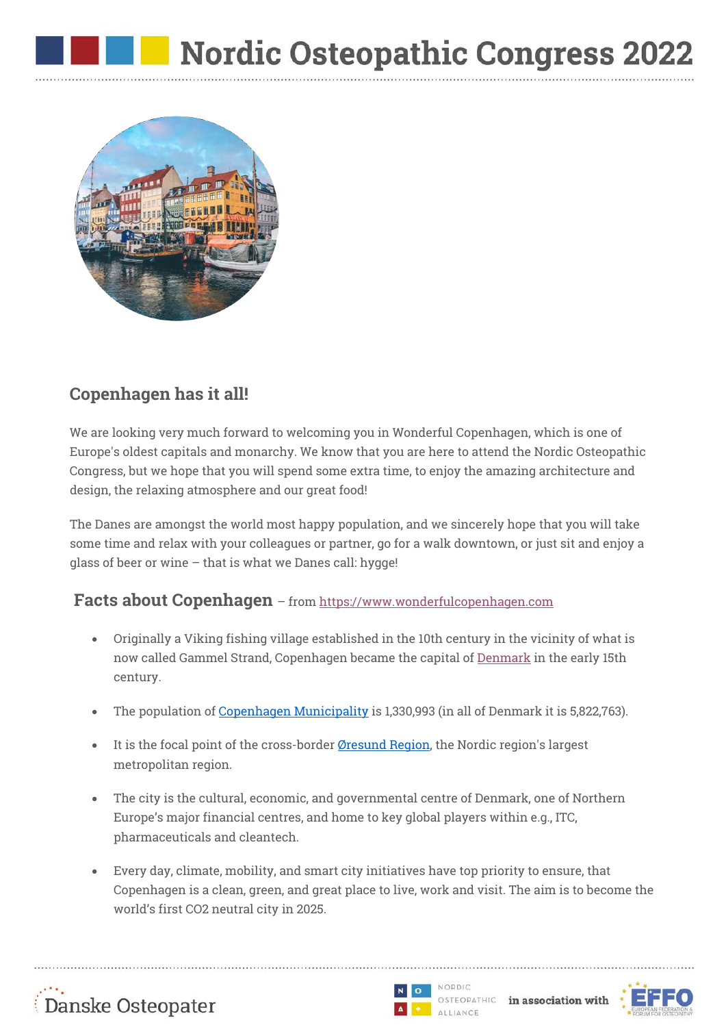

## **Copenhagen has it all!**

We are looking very much forward to welcoming you in Wonderful Copenhagen, which is one of Europe's oldest capitals and monarchy. We know that you are here to attend the Nordic Osteopathic Congress, but we hope that you will spend some extra time, to enjoy the amazing architecture and design, the relaxing atmosphere and our great food!

The Danes are amongst the world most happy population, and we sincerely hope that you will take some time and relax with your colleagues or partner, go for a walk downtown, or just sit and enjoy a glass of beer or wine – that is what we Danes call: hygge!

## **Facts about Copenhagen** – from https://www.wonderfulcopenhagen.com

- Originally a Viking fishing village established in the 10th century in the vicinity of what is now called Gammel Strand, Copenhagen became the capital of Denmark in the early 15th century.
- The population of Copenhagen Municipality is 1,330,993 (in all of Denmark it is 5,822,763).
- It is the focal point of the cross-border Øresund Region, the Nordic region's largest metropolitan region.
- The city is the cultural, economic, and governmental centre of Denmark, one of Northern Europe's major financial centres, and home to key global players within e.g., ITC, pharmaceuticals and cleantech.
- Every day, climate, mobility, and smart city initiatives have top priority to ensure, that Copenhagen is a clean, green, and great place to live, work and visit. The aim is to become the world's first CO2 neutral city in 2025.